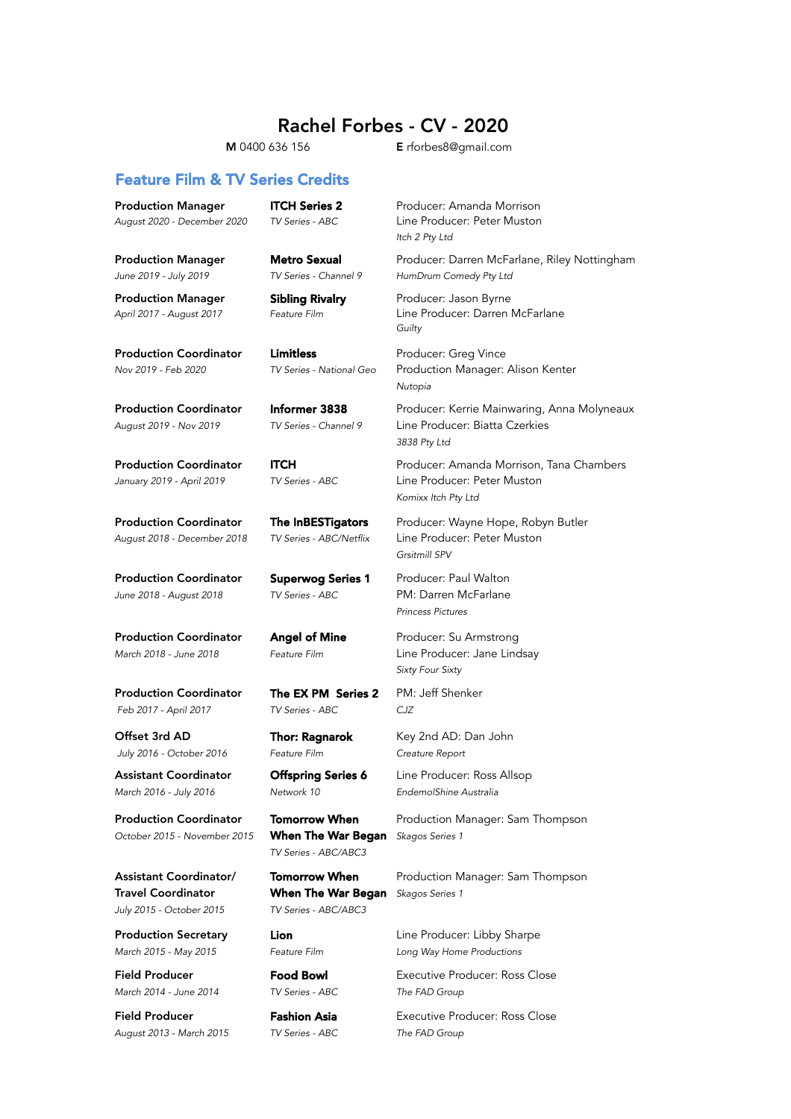## Rachel Forbes - CV - 2020

### M 0400 636 156 E rforbes8@gmail.com

### Feature Film & TV Series Credits

**Production Manager ITCH Series 2** Producer: Amanda Morrison *August 2020 - December 2020 TV Series - ABC* Line Producer: Peter Muston

*June 2019 - July 2019 TV Series - Channel 9 HumDrum Comedy Pty Ltd*

Production Coordinator Limitless **Exercise Producer:** Greg Vince

Production Coordinator Superwog Series 1 Producer: Paul Walton *June 2018 - August 2018 TV Series - ABC* PM: Darren McFarlane

Production Coordinator The EX PM Series 2 PM: Jeff Shenker  *Feb 2017 - April 2017 TV Series - ABC CJZ*

 *July 2016 - October 2016 Feature Film Creature Report*

Assistant Coordinator **Offspring Series 6** Line Producer: Ross Allsop

*October 2015 - November 2015* When The War Began *Skagos Series 1* 

*TV Series - ABC/ABC3*

Travel Coordinator When The War Began *Skagos Series 1 July 2015 - October 2015 TV Series - ABC/ABC3*

*March 2014 - June 2014 TV Series - ABC The FAD Group*

*August 2013 - March 2015 TV Series - ABC The FAD Group*

Production Manager Metro Sexual Producer: Darren McFarlane, Riley Nottingham

*Guilty* 

Production Coordinator Informer 3838 Producer: Kerrie Mainwaring, Anna Molyneaux *August 2019 - Nov 2019 TV Series - Channel 9* Line Producer: Biatta Czerkies

*January 2019 - April 2019 TV Series - ABC* Line Producer: Peter Muston *Komixx Itch Pty Ltd*

*August 2018 - December 2018 TV Series - ABC/Netflix* Line Producer: Peter Muston *Grsitmill SPV*

*Princess Pictures*

*March 2018 - June 2018 Feature Film* Line Producer: Jane Lindsay *Sixty Four Sixty*

Offset 3rd AD Thor: Ragnarok Key 2nd AD: Dan John

Production Coordinator Tomorrow When Production Manager: Sam Thompson

Assistant Coordinator/ **Tomorrow When** Production Manager: Sam Thompson

**Production Secretary Lion Line Producer: Libby Sharpe** 

Field Producer **Food Bowl** Executive Producer: Ross Close

Field Producer **Fashion Asia** Executive Producer: Ross Close

*Itch 2 Pty Ltd*

Production Manager **Sibling Rivalry** Producer: Jason Byrne *April 2017 - August 2017 Feature Film* Line Producer: Darren McFarlane

*Nov 2019 - Feb 2020 TV Series - National Geo* Production Manager: Alison Kenter *Nutopia* 

*3838 Pty Ltd*

**Production Coordinator ITCH** Producer: Amanda Morrison, Tana Chambers

Production Coordinator The InBESTigators Producer: Wayne Hope, Robyn Butler

Production Coordinator **Angel of Mine** Producer: Su Armstrong

*March 2016 - July 2016 Network 10 EndemolShine Australia*

*March 2015 - May 2015 Feature Film Long Way Home Productions*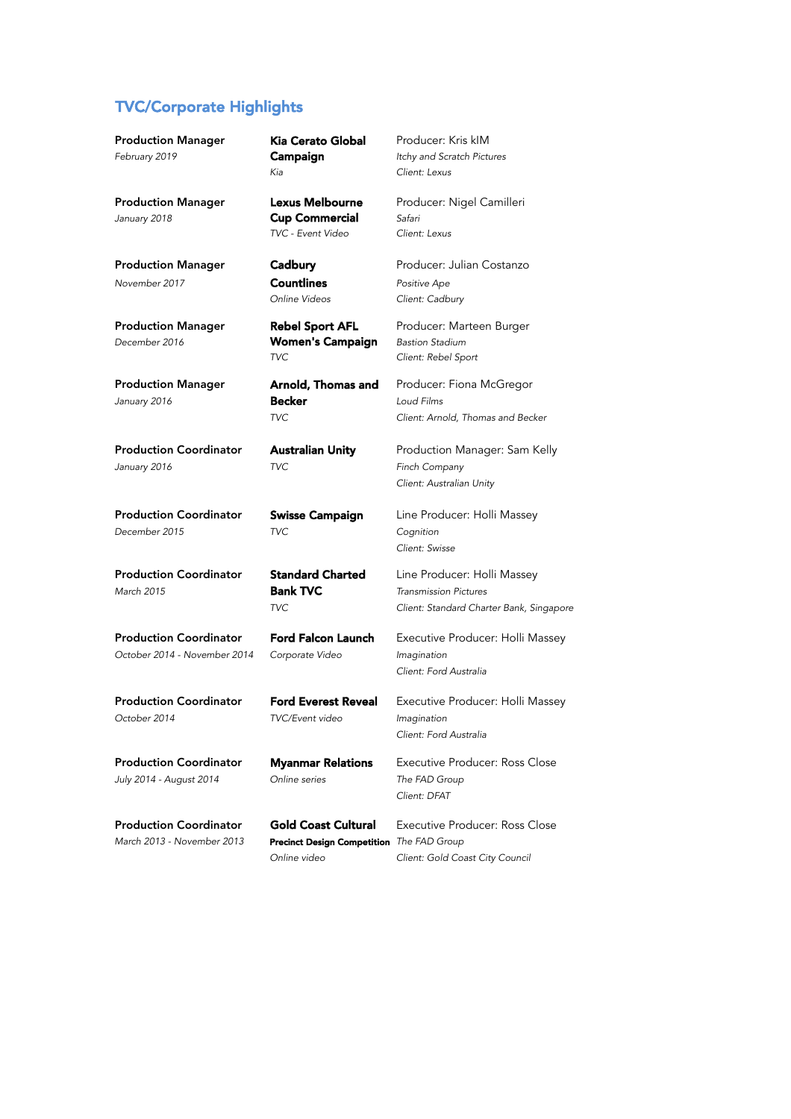### TVC/Corporate Highlights

Production Manager Kia Cerato Global Producer: Kris kIM *February 2019*

*January 2018* Cup Commercial *Safari*

*November 2017* Countlines *Positive Ape*

*December 2016* Women's Campaign *Bastion Stadium*

*January 2016 TVC Finch Company*

*December 2015 TVC Cognition* 

*March 2015* Bank TVC *Transmission Pictures* 

*October 2014 - November 2014 Corporate Video Imagination*

*October 2014 TVC/Event video Imagination*

*July 2014 - August 2014 Online series The FAD Group*

**Production Coordinator Gold Coast Cultural** Executive Producer: Ross Close *March 2013 - November 2013 The FAD Group* Precinct Design Competition

*Kia Client: Lexus*

*TVC - Event Video Client: Lexus*

*TVC Client: Rebel Sport*

*January 2016* Becker *Loud Films*

Campaign *Itchy and Scratch Pictures*

Production Manager **Lexus Melbourne** Producer: Nigel Camilleri

**Production Manager Cadbury Carrollian Costanzo** Producer: Julian Costanzo *Online Videos Client: Cadbury*

Production Manager **Rebel Sport AFL** Producer: Marteen Burger

Production Manager **Arnold, Thomas and** Producer: Fiona McGregor *TVC Client: Arnold, Thomas and Becker*

Production Coordinator **Australian Unity** Production Manager: Sam Kelly *Client: Australian Unity*

Production Coordinator Swisse Campaign Line Producer: Holli Massey *Client: Swisse*

Production Coordinator Standard Charted Line Producer: Holli Massey *TVC Client: Standard Charter Bank, Singapore*

Production Coordinator Ford Falcon Launch Executive Producer: Holli Massey *Client: Ford Australia* 

Production Coordinator Ford Everest Reveal Executive Producer: Holli Massey *Client: Ford Australia* 

Production Coordinator Myanmar Relations Executive Producer: Ross Close *Client: DFAT*

*Online video Client: Gold Coast City Council*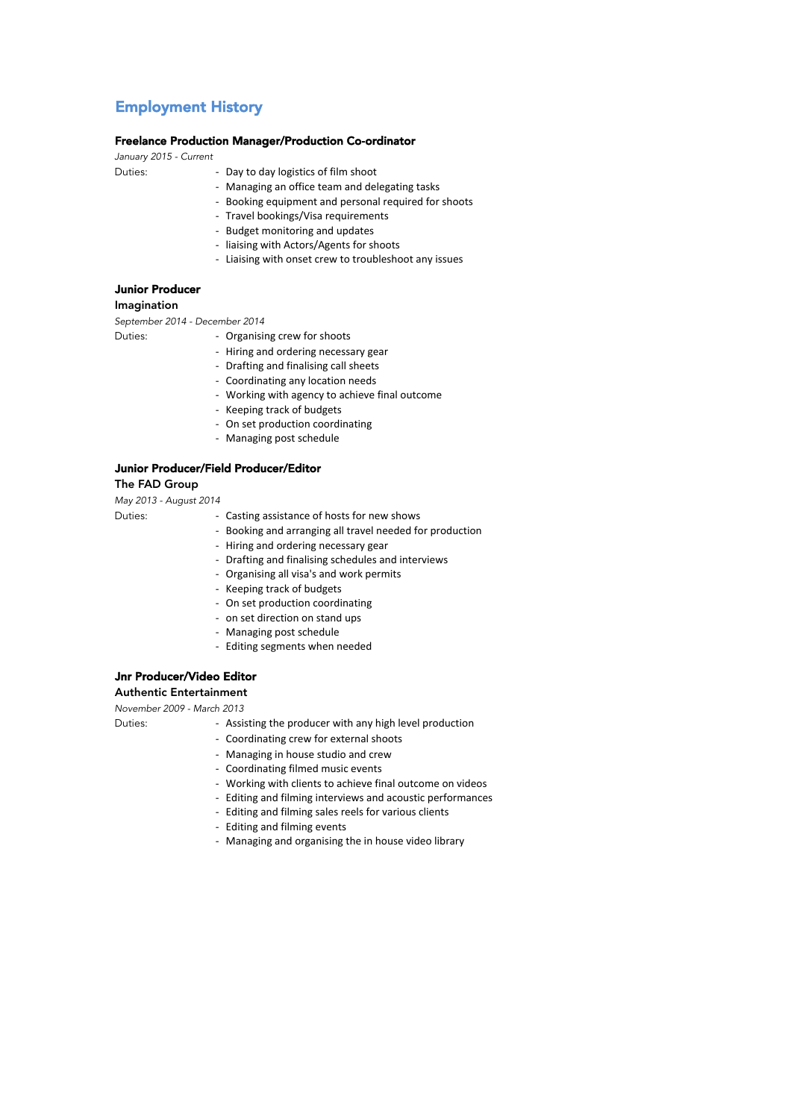## Employment History

#### Freelance Production Manager/Production Co-ordinator

*January 2015 - Current* 

- Duties: **Day to day logistics of film shoot** 
	- Managing an office team and delegating tasks
	- Booking equipment and personal required for shoots
	- Travel bookings/Visa requirements
	- Budget monitoring and updates
	- liaising with Actors/Agents for shoots
	- Liaising with onset crew to troubleshoot any issues

### Junior Producer

#### Imagination

*September 2014 - December 2014*

- Duties: **Duties: Organising crew for shoots** 
	- Hiring and ordering necessary gear
	- Drafting and finalising call sheets
	- Coordinating any location needs
	- Working with agency to achieve final outcome
	- Keeping track of budgets
	- On set production coordinating
	- Managing post schedule

#### Junior Producer/Field Producer/Editor

The FAD Group

*May 2013 - August 2014*

- Duties: Casting assistance of hosts for new shows
	- Booking and arranging all travel needed for production
	- Hiring and ordering necessary gear
	- Drafting and finalising schedules and interviews
	- Organising all visa's and work permits
	- Keeping track of budgets
	- On set production coordinating
	- on set direction on stand ups
	- Managing post schedule
	- Editing segments when needed

### Jnr Producer/Video Editor

Authentic Entertainment

*November 2009 - March 2013*

- 
- Duties: Assisting the producer with any high level production
	- Coordinating crew for external shoots
	- Managing in house studio and crew
	- Coordinating filmed music events
	- Working with clients to achieve final outcome on videos
	- Editing and filming interviews and acoustic performances
	- Editing and filming sales reels for various clients
	- Editing and filming events
	- Managing and organising the in house video library